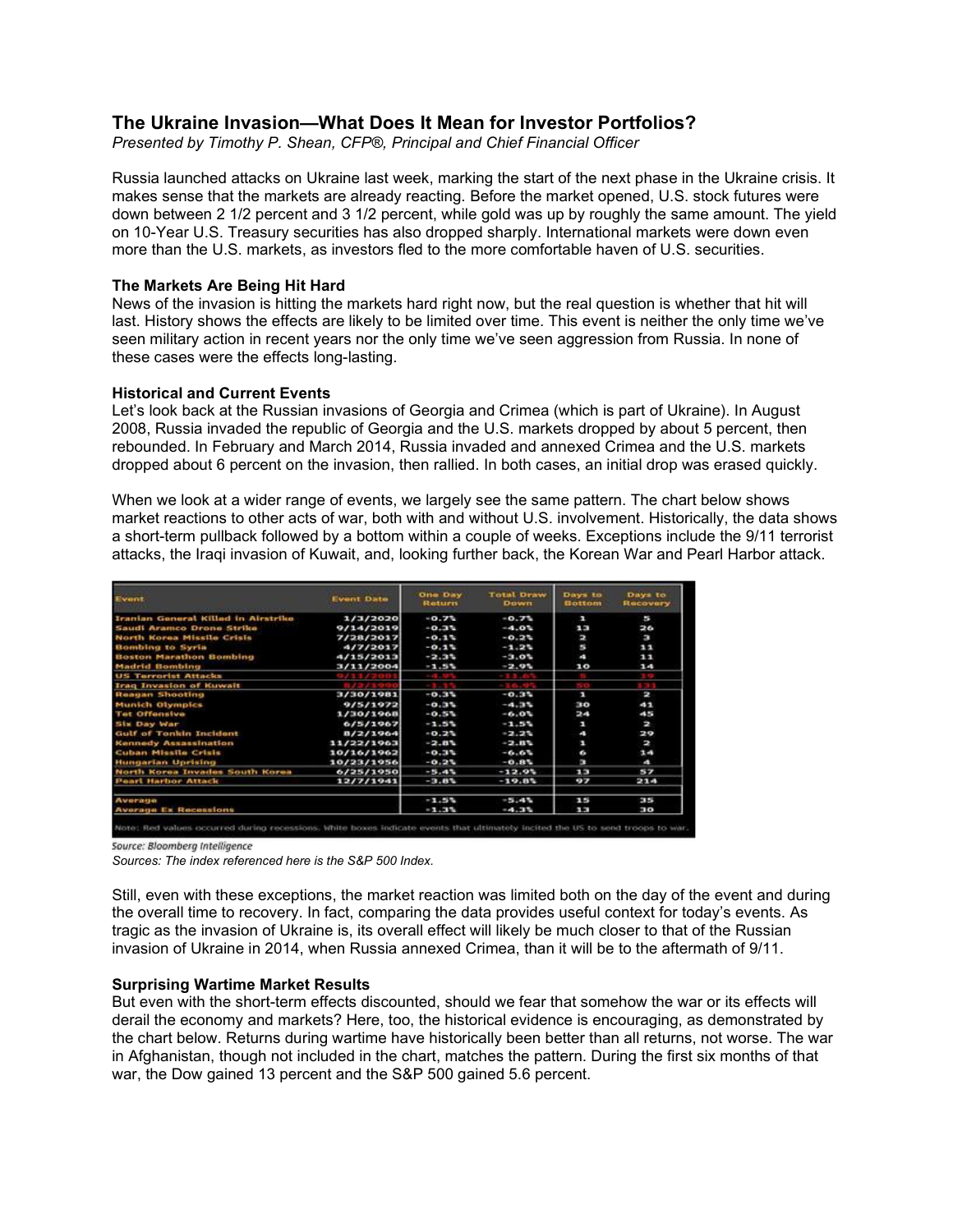# **The Ukraine Invasion—What Does It Mean for Investor Portfolios?**

*Presented by Timothy P. Shean, CFP®, Principal and Chief Financial Officer*

Russia launched attacks on Ukraine last week, marking the start of the next phase in the Ukraine crisis. It makes sense that the markets are already reacting. Before the market opened, U.S. stock futures were down between 2 1/2 percent and 3 1/2 percent, while gold was up by roughly the same amount. The yield on 10-Year U.S. Treasury securities has also dropped sharply. International markets were down even more than the U.S. markets, as investors fled to the more comfortable haven of U.S. securities.

### **The Markets Are Being Hit Hard**

News of the invasion is hitting the markets hard right now, but the real question is whether that hit will last. History shows the effects are likely to be limited over time. This event is neither the only time we've seen military action in recent years nor the only time we've seen aggression from Russia. In none of these cases were the effects long-lasting.

### **Historical and Current Events**

Let's look back at the Russian invasions of Georgia and Crimea (which is part of Ukraine). In August 2008, Russia invaded the republic of Georgia and the U.S. markets dropped by about 5 percent, then rebounded. In February and March 2014, Russia invaded and annexed Crimea and the U.S. markets dropped about 6 percent on the invasion, then rallied. In both cases, an initial drop was erased quickly.

When we look at a wider range of events, we largely see the same pattern. The chart below shows market reactions to other acts of war, both with and without U.S. involvement. Historically, the data shows a short-term pullback followed by a bottom within a couple of weeks. Exceptions include the 9/11 terrorist attacks, the Iraqi invasion of Kuwait, and, looking further back, the Korean War and Pearl Harbor attack.

| Event                                                  | Event Date | One Day<br>Return | <b>Total Draw</b><br><b>Down</b> | Days to<br><b>Bottom</b> | Days to<br><b>Recovery</b> |  |
|--------------------------------------------------------|------------|-------------------|----------------------------------|--------------------------|----------------------------|--|
| <b>Iranian General Killed in Airstrike</b><br>1/3/2020 |            | $-0.71$           | $-0.75$                          | F                        | 25                         |  |
| Saudi Aramco Drone Strike                              | 9/14/2019  | -0.0%             | $-4.01$                          | ŧ                        | 26                         |  |
| North korea Missile Crisis                             | 7/28/2017  | $-0.1$            | $-0.25$                          | Þ                        | F                          |  |
| Bombing to Syria                                       | 4/7/2017   | $-0.1%$           | $-1.24$                          | 秀                        | 11                         |  |
| <b>Boston Marathon Bombing</b>                         | 4/15/2013  | $-2.35$           | $-3.01$                          | ×.                       | 11                         |  |
| <b>Madrid Bombing</b>                                  | 3/11/2004  | $-1.5%$           | $-2.95$                          | 10                       | 14                         |  |
| <b>US Terrorist Attacks</b>                            |            |                   |                                  |                          |                            |  |
| <b>Iraq Invasion of Kuwait</b>                         |            |                   |                                  |                          |                            |  |
| Reagan Shooting                                        | 3/30/1981  | $-0.35$           | $-0.35$                          | п                        | $\Rightarrow$              |  |
| <b>Munich Olympics</b>                                 | 9/5/1972   | $-0.35$           | $-4.34$                          | 30                       | 41                         |  |
| <b>Tet Offensive</b>                                   | 1/30/1968  | $-0.5%$           | $-6.01$                          | 24                       | S.                         |  |
| <b>Six Day War</b>                                     | 6/5/1967   | $-1.51$           | $-1.55$                          | п                        | Þ                          |  |
| <b>Gulf of Tonkin Incident</b>                         | B/2/1964   | $-0.25$           | $-2.25$                          | A.                       | 29                         |  |
| <b>Kennedy Assassination</b>                           | 11/22/1963 | $-2.81$           | $-2.84$                          | п                        | N                          |  |
| Cuban Missile Crisis                                   | 10/16/1962 | $-0.35$           | $-0.01$                          | e.                       | 2.4                        |  |
| Hungarian Uprising                                     | 10/23/1956 | $-0.25$           | $-0.81$                          | H                        | $\mathbf{A}$               |  |
| North Korea Invades South Korea                        | 6/25/1950  | $-5.45$           | $-12.95$                         | 7.33                     | <b>ALC: YES</b>            |  |
| <b>Pearl Harbor Attack</b>                             | 12/7/1941  | $-3.81$           | $-19.81$                         | ò                        | 214                        |  |
| Average                                                |            | $-1.55$           | $-5.45$                          | 1.5                      | 53.55                      |  |
| <b>Average Ex Recessions</b>                           |            | $-1.35$           | $-4.35$                          | ŕ                        | p                          |  |

Source: Bloomberg Intelligence

*Sources: The index referenced here is the S&P 500 Index.*

Still, even with these exceptions, the market reaction was limited both on the day of the event and during the overall time to recovery. In fact, comparing the data provides useful context for today's events. As tragic as the invasion of Ukraine is, its overall effect will likely be much closer to that of the Russian invasion of Ukraine in 2014, when Russia annexed Crimea, than it will be to the aftermath of 9/11.

### **Surprising Wartime Market Results**

But even with the short-term effects discounted, should we fear that somehow the war or its effects will derail the economy and markets? Here, too, the historical evidence is encouraging, as demonstrated by the chart below. Returns during wartime have historically been better than all returns, not worse. The war in Afghanistan, though not included in the chart, matches the pattern. During the first six months of that war, the Dow gained 13 percent and the S&P 500 gained 5.6 percent.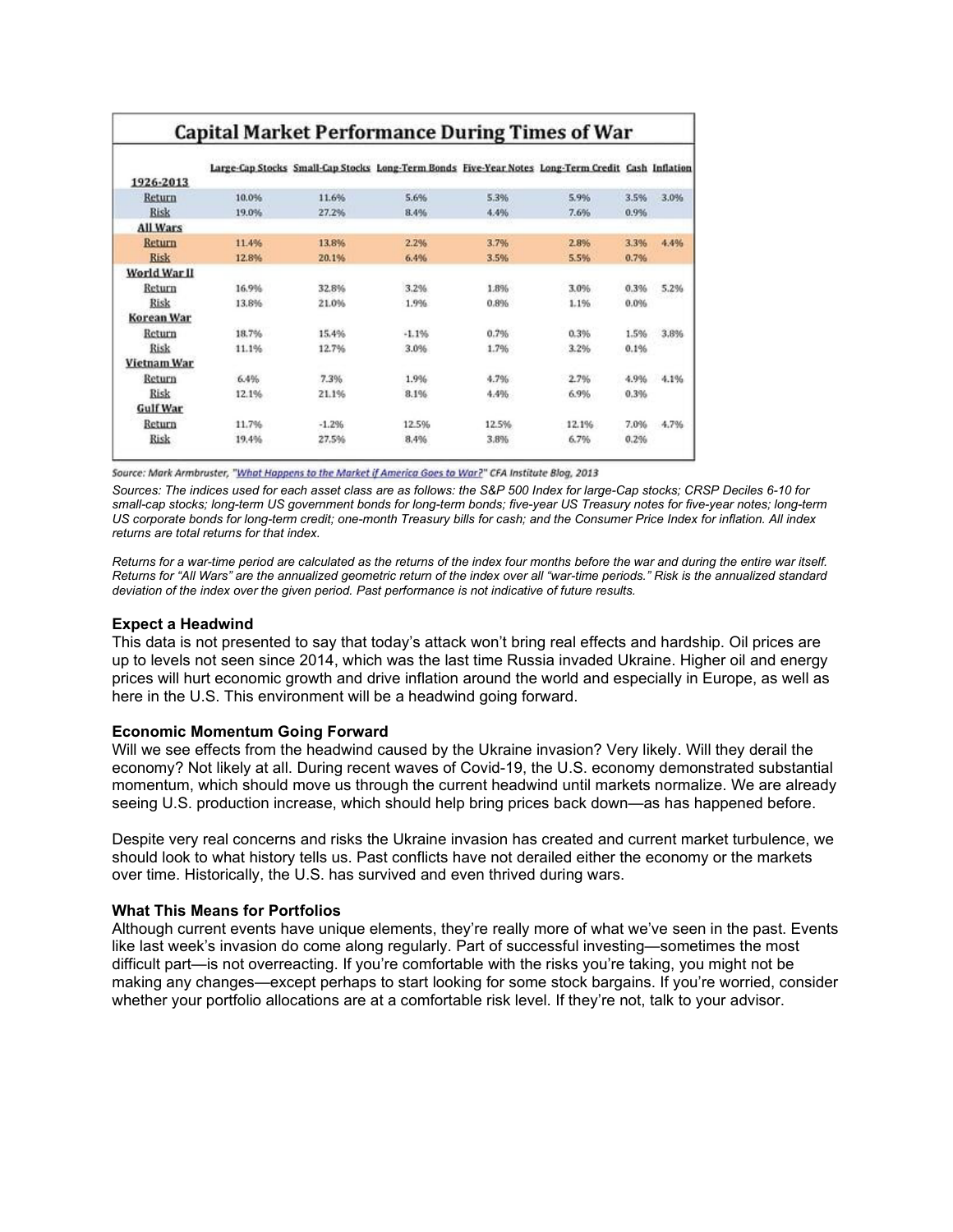# **Capital Market Performance During Times of War**

|                 |       |         |         |       | Large-Cap Stocks Small-Cap Stocks Long-Term Bonds Five-Year Notes Long-Term Credit Cash Inflation |      |      |
|-----------------|-------|---------|---------|-------|---------------------------------------------------------------------------------------------------|------|------|
| 1926-2013       |       |         |         |       |                                                                                                   |      |      |
| Return          | 10.0% | 11.6%   | 5.6%    | 5.3%  | 5.9%                                                                                              | 3.5% | 3.0% |
| Risk            | 19.0% | 27.2%   | 8.4%    | 4.4%  | 7.6%                                                                                              | 0.9% |      |
| All Wars        |       |         |         |       |                                                                                                   |      |      |
| <b>Return</b>   | 11.4% | 13.8%   | 2.2%    | 3.7%  | 2.8%                                                                                              | 3.3% | 4.4% |
| <b>Risk</b>     | 12.8% | 20.1%   | 6.4%    | 3.5%  | 5.5%                                                                                              | 0.7% |      |
| World War II    |       |         |         |       |                                                                                                   |      |      |
| Return          | 16.9% | 32.8%   | 3.2%    | 1.8%  | 3.0%                                                                                              | 0.3% | 5.2% |
| Risk            | 13.8% | 21.0%   | 1.9%    | 0.8%  | 1.1%                                                                                              | 0.0% |      |
| Korean War      |       |         |         |       |                                                                                                   |      |      |
| Return          | 18.7% | 15.4%   | $-1.1%$ | 0.7%  | 0.3%                                                                                              | 1.5% | 3.8% |
| Risk            | 11.1% | 12.7%   | 3.0%    | 1.7%  | 3.2%                                                                                              | 0.1% |      |
| Vietnam War     |       |         |         |       |                                                                                                   |      |      |
| Return          | 6.4%  | 7.3%    | 1.9%    | 4.7%  | 2.7%                                                                                              | 4.9% | 4.1% |
| Risk            | 12.1% | 21.1%   | 8.1%    | 4.4%  | 6.9%                                                                                              | 0.3% |      |
| <b>Gulf War</b> |       |         |         |       |                                                                                                   |      |      |
| Return          | 11.7% | $-1.2%$ | 12.5%   | 12.5% | 12.1%                                                                                             | 7.0% | 4.7% |
| Risk            | 19.4% | 27.5%   | 8.4%    | 3.8%  | 6.7%                                                                                              | 0.2% |      |

*Sources: The indices used for each asset class are as follows: the S&P 500 Index for large-Cap stocks; CRSP Deciles 6-10 for small-cap stocks; long-term US government bonds for long-term bonds; five-year US Treasury notes for five-year notes; long-term US corporate bonds for long-term credit; one-month Treasury bills for cash; and the Consumer Price Index for inflation. All index returns are total returns for that index.* 

*Returns for a war-time period are calculated as the returns of the index four months before the war and during the entire war itself. Returns for "All Wars" are the annualized geometric return of the index over all "war-time periods." Risk is the annualized standard deviation of the index over the given period. Past performance is not indicative of future results.*

### **Expect a Headwind**

This data is not presented to say that today's attack won't bring real effects and hardship. Oil prices are up to levels not seen since 2014, which was the last time Russia invaded Ukraine. Higher oil and energy prices will hurt economic growth and drive inflation around the world and especially in Europe, as well as here in the U.S. This environment will be a headwind going forward.

# **Economic Momentum Going Forward**

Will we see effects from the headwind caused by the Ukraine invasion? Very likely. Will they derail the economy? Not likely at all. During recent waves of Covid-19, the U.S. economy demonstrated substantial momentum, which should move us through the current headwind until markets normalize. We are already seeing U.S. production increase, which should help bring prices back down—as has happened before.

Despite very real concerns and risks the Ukraine invasion has created and current market turbulence, we should look to what history tells us. Past conflicts have not derailed either the economy or the markets over time. Historically, the U.S. has survived and even thrived during wars.

# **What This Means for Portfolios**

Although current events have unique elements, they're really more of what we've seen in the past. Events like last week's invasion do come along regularly. Part of successful investing—sometimes the most difficult part—is not overreacting. If you're comfortable with the risks you're taking, you might not be making any changes—except perhaps to start looking for some stock bargains. If you're worried, consider whether your portfolio allocations are at a comfortable risk level. If they're not, talk to your advisor.